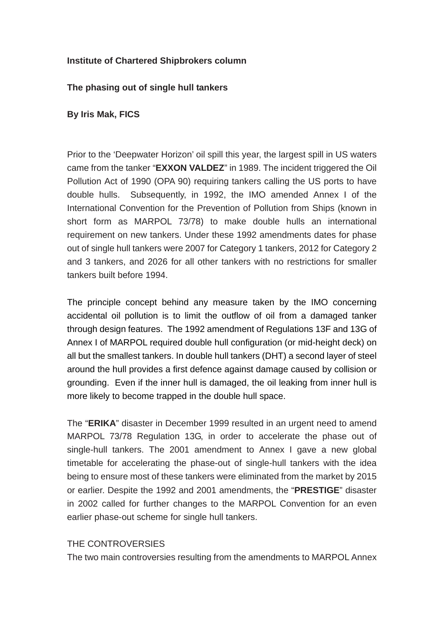# **Institute of Chartered Shipbrokers column**

## **The phasing out of single hull tankers**

# **By Iris Mak, FICS**

Prior to the 'Deepwater Horizon' oil spill this year, the largest spill in US waters came from the tanker "**EXXON VALDEZ**" in 1989. The incident triggered the Oil Pollution Act of 1990 (OPA 90) requiring tankers calling the US ports to have double hulls. Subsequently, in 1992, the IMO amended Annex I of the International Convention for the Prevention of Pollution from Ships (known in short form as MARPOL 73/78) to make double hulls an international requirement on new tankers. Under these 1992 amendments dates for phase out of single hull tankers were 2007 for Category 1 tankers, 2012 for Category 2 and 3 tankers, and 2026 for all other tankers with no restrictions for smaller tankers built before 1994.

The principle concept behind any measure taken by the IMO concerning accidental oil pollution is to limit the outflow of oil from a damaged tanker through design features. The 1992 amendment of Regulations 13F and 13G of Annex I of MARPOL required double hull configuration (or mid-height deck) on all but the smallest tankers. In double hull tankers (DHT) a second layer of steel around the hull provides a first defence against damage caused by collision or grounding. Even if the inner hull is damaged, the oil leaking from inner hull is more likely to become trapped in the double hull space.

The "**ERIKA**" disaster in December 1999 resulted in an urgent need to amend MARPOL 73/78 Regulation 13G, in order to accelerate the phase out of single-hull tankers. The 2001 amendment to Annex I gave a new global timetable for accelerating the phase-out of single-hull tankers with the idea being to ensure most of these tankers were eliminated from the market by 2015 or earlier. Despite the 1992 and 2001 amendments, the "**PRESTIGE**" disaster in 2002 called for further changes to the MARPOL Convention for an even earlier phase-out scheme for single hull tankers.

#### THE CONTROVERSIES

The two main controversies resulting from the amendments to MARPOL Annex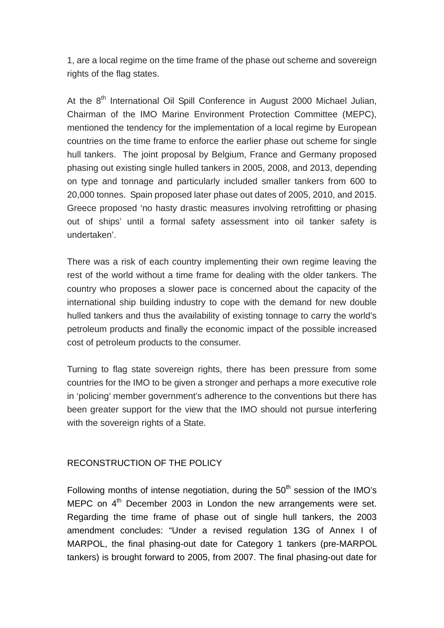1, are a local regime on the time frame of the phase out scheme and sovereign rights of the flag states.

At the 8<sup>th</sup> International Oil Spill Conference in August 2000 Michael Julian, Chairman of the IMO Marine Environment Protection Committee (MEPC), mentioned the tendency for the implementation of a local regime by European countries on the time frame to enforce the earlier phase out scheme for single hull tankers. The joint proposal by Belgium, France and Germany proposed phasing out existing single hulled tankers in 2005, 2008, and 2013, depending on type and tonnage and particularly included smaller tankers from 600 to 20,000 tonnes. Spain proposed later phase out dates of 2005, 2010, and 2015. Greece proposed 'no hasty drastic measures involving retrofitting or phasing out of ships' until a formal safety assessment into oil tanker safety is undertaken'.

There was a risk of each country implementing their own regime leaving the rest of the world without a time frame for dealing with the older tankers. The country who proposes a slower pace is concerned about the capacity of the international ship building industry to cope with the demand for new double hulled tankers and thus the availability of existing tonnage to carry the world's petroleum products and finally the economic impact of the possible increased cost of petroleum products to the consumer.

Turning to flag state sovereign rights, there has been pressure from some countries for the IMO to be given a stronger and perhaps a more executive role in 'policing' member government's adherence to the conventions but there has been greater support for the view that the IMO should not pursue interfering with the sovereign rights of a State.

# RECONSTRUCTION OF THE POLICY

Following months of intense negotiation, during the  $50<sup>th</sup>$  session of the IMO's MEPC on  $4<sup>th</sup>$  December 2003 in London the new arrangements were set. Regarding the time frame of phase out of single hull tankers, the 2003 amendment concludes: "Under a revised regulation 13G of Annex I of MARPOL, the final phasing-out date for Category 1 tankers (pre-MARPOL tankers) is brought forward to 2005, from 2007. The final phasing-out date for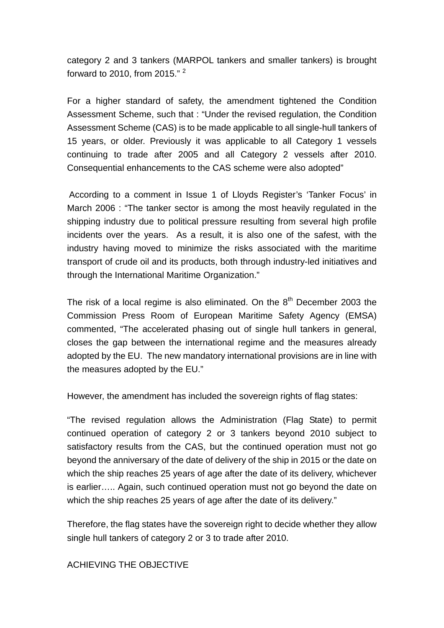category 2 and 3 tankers (MARPOL tankers and smaller tankers) is brought forward to 2010, from 2015." <sup>2</sup>

For a higher standard of safety, the amendment tightened the Condition Assessment Scheme, such that : "Under the revised regulation, the Condition Assessment Scheme (CAS) is to be made applicable to all single-hull tankers of 15 years, or older. Previously it was applicable to all Category 1 vessels continuing to trade after 2005 and all Category 2 vessels after 2010. Consequential enhancements to the CAS scheme were also adopted"

 According to a comment in Issue 1 of Lloyds Register's 'Tanker Focus' in March 2006 : "The tanker sector is among the most heavily regulated in the shipping industry due to political pressure resulting from several high profile incidents over the years. As a result, it is also one of the safest, with the industry having moved to minimize the risks associated with the maritime transport of crude oil and its products, both through industry-led initiatives and through the International Maritime Organization."

The risk of a local regime is also eliminated. On the  $8<sup>th</sup>$  December 2003 the Commission Press Room of European Maritime Safety Agency (EMSA) commented, "The accelerated phasing out of single hull tankers in general, closes the gap between the international regime and the measures already adopted by the EU. The new mandatory international provisions are in line with the measures adopted by the EU."

However, the amendment has included the sovereign rights of flag states:

"The revised regulation allows the Administration (Flag State) to permit continued operation of category 2 or 3 tankers beyond 2010 subject to satisfactory results from the CAS, but the continued operation must not go beyond the anniversary of the date of delivery of the ship in 2015 or the date on which the ship reaches 25 years of age after the date of its delivery, whichever is earlier….. Again, such continued operation must not go beyond the date on which the ship reaches 25 years of age after the date of its delivery."

Therefore, the flag states have the sovereign right to decide whether they allow single hull tankers of category 2 or 3 to trade after 2010.

#### ACHIEVING THE OBJECTIVE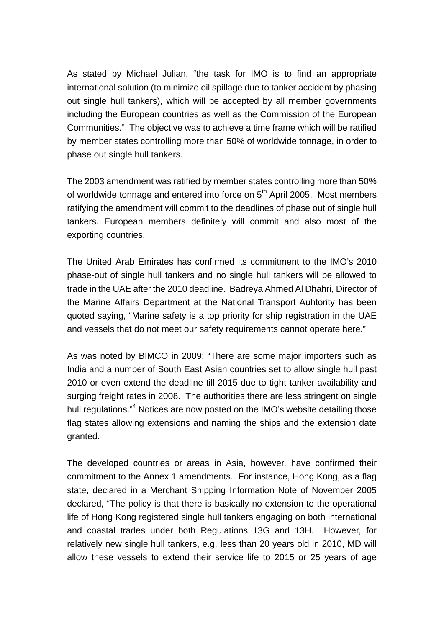As stated by Michael Julian, "the task for IMO is to find an appropriate international solution (to minimize oil spillage due to tanker accident by phasing out single hull tankers), which will be accepted by all member governments including the European countries as well as the Commission of the European Communities." The objective was to achieve a time frame which will be ratified by member states controlling more than 50% of worldwide tonnage, in order to phase out single hull tankers.

The 2003 amendment was ratified by member states controlling more than 50% of worldwide tonnage and entered into force on 5<sup>th</sup> April 2005. Most members ratifying the amendment will commit to the deadlines of phase out of single hull tankers. European members definitely will commit and also most of the exporting countries.

The United Arab Emirates has confirmed its commitment to the IMO's 2010 phase-out of single hull tankers and no single hull tankers will be allowed to trade in the UAE after the 2010 deadline. Badreya Ahmed Al Dhahri, Director of the Marine Affairs Department at the National Transport Auhtority has been quoted saying, "Marine safety is a top priority for ship registration in the UAE and vessels that do not meet our safety requirements cannot operate here."

As was noted by BIMCO in 2009: "There are some major importers such as India and a number of South East Asian countries set to allow single hull past 2010 or even extend the deadline till 2015 due to tight tanker availability and surging freight rates in 2008. The authorities there are less stringent on single hull regulations."<sup>4</sup> Notices are now posted on the IMO's website detailing those flag states allowing extensions and naming the ships and the extension date granted.

The developed countries or areas in Asia, however, have confirmed their commitment to the Annex 1 amendments. For instance, Hong Kong, as a flag state, declared in a Merchant Shipping Information Note of November 2005 declared, "The policy is that there is basically no extension to the operational life of Hong Kong registered single hull tankers engaging on both international and coastal trades under both Regulations 13G and 13H. However, for relatively new single hull tankers, e.g. less than 20 years old in 2010, MD will allow these vessels to extend their service life to 2015 or 25 years of age